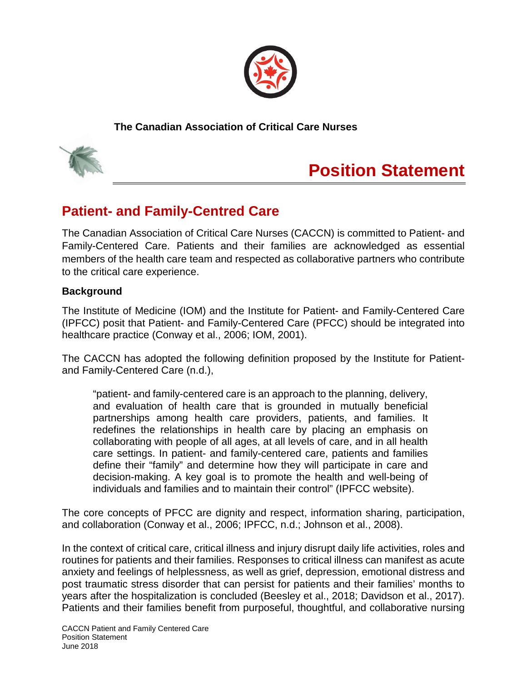

**The Canadian Association of Critical Care Nurses**



# **Position Statement**

## **Patient- and Family-Centred Care**

The Canadian Association of Critical Care Nurses (CACCN) is committed to Patient- and Family-Centered Care. Patients and their families are acknowledged as essential members of the health care team and respected as collaborative partners who contribute to the critical care experience.

#### **Background**

The Institute of Medicine (IOM) and the Institute for Patient- and Family-Centered Care (IPFCC) posit that Patient- and Family-Centered Care (PFCC) should be integrated into healthcare practice (Conway et al., 2006; IOM, 2001).

The CACCN has adopted the following definition proposed by the Institute for Patientand Family-Centered Care (n.d.),

"patient- and family-centered care is an approach to the planning, delivery, and evaluation of health care that is grounded in mutually beneficial partnerships among health care providers, patients, and families. It redefines the relationships in health care by placing an emphasis on collaborating with people of all ages, at all levels of care, and in all health care settings. In patient- and family-centered care, patients and families define their "family" and determine how they will participate in care and decision-making. A key goal is to promote the health and well-being of individuals and families and to maintain their control" (IPFCC website).

The core concepts of PFCC are dignity and respect, information sharing, participation, and collaboration (Conway et al., 2006; IPFCC, n.d.; Johnson et al., 2008).

In the context of critical care, critical illness and injury disrupt daily life activities, roles and routines for patients and their families. Responses to critical illness can manifest as acute anxiety and feelings of helplessness, as well as grief, depression, emotional distress and post traumatic stress disorder that can persist for patients and their families' months to years after the hospitalization is concluded (Beesley et al., 2018; Davidson et al., 2017). Patients and their families benefit from purposeful, thoughtful, and collaborative nursing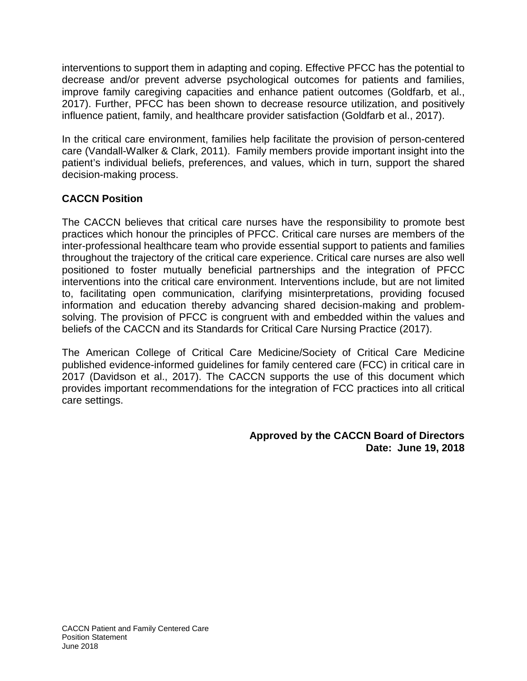interventions to support them in adapting and coping. Effective PFCC has the potential to decrease and/or prevent adverse psychological outcomes for patients and families, improve family caregiving capacities and enhance patient outcomes (Goldfarb, et al., 2017). Further, PFCC has been shown to decrease resource utilization, and positively influence patient, family, and healthcare provider satisfaction (Goldfarb et al., 2017).

In the critical care environment, families help facilitate the provision of person-centered care (Vandall-Walker & Clark, 2011). Family members provide important insight into the patient's individual beliefs, preferences, and values, which in turn, support the shared decision-making process.

### **CACCN Position**

The CACCN believes that critical care nurses have the responsibility to promote best practices which honour the principles of PFCC. Critical care nurses are members of the inter-professional healthcare team who provide essential support to patients and families throughout the trajectory of the critical care experience. Critical care nurses are also well positioned to foster mutually beneficial partnerships and the integration of PFCC interventions into the critical care environment. Interventions include, but are not limited to, facilitating open communication, clarifying misinterpretations, providing focused information and education thereby advancing shared decision-making and problemsolving. The provision of PFCC is congruent with and embedded within the values and beliefs of the CACCN and its Standards for Critical Care Nursing Practice (2017).

The American College of Critical Care Medicine/Society of Critical Care Medicine published evidence-informed guidelines for family centered care (FCC) in critical care in 2017 (Davidson et al., 2017). The CACCN supports the use of this document which provides important recommendations for the integration of FCC practices into all critical care settings.

> **Approved by the CACCN Board of Directors Date: June 19, 2018**